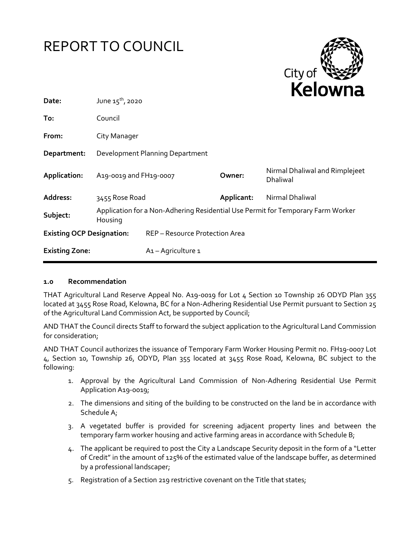# REPORT TO COUNCIL



| Date:                            | June $15^{th}$ , 2020                                                                      |                                |            | .                                                 |
|----------------------------------|--------------------------------------------------------------------------------------------|--------------------------------|------------|---------------------------------------------------|
| To:                              | Council                                                                                    |                                |            |                                                   |
| From:                            | City Manager                                                                               |                                |            |                                                   |
| Department:                      | Development Planning Department                                                            |                                |            |                                                   |
| Application:                     | A19-0019 and FH19-0007                                                                     |                                | Owner:     | Nirmal Dhaliwal and Rimplejeet<br><b>Dhaliwal</b> |
| Address:                         | 3455 Rose Road                                                                             |                                | Applicant: | Nirmal Dhaliwal                                   |
| Subject:                         | Application for a Non-Adhering Residential Use Permit for Temporary Farm Worker<br>Housing |                                |            |                                                   |
| <b>Existing OCP Designation:</b> |                                                                                            | REP - Resource Protection Area |            |                                                   |
| <b>Existing Zone:</b>            |                                                                                            | A <sub>1</sub> - Agriculture 1 |            |                                                   |

#### **1.0 Recommendation**

THAT Agricultural Land Reserve Appeal No. A19-0019 for Lot 4 Section 10 Township 26 ODYD Plan 355 located at 3455 Rose Road, Kelowna, BC for a Non-Adhering Residential Use Permit pursuant to Section 25 of the Agricultural Land Commission Act, be supported by Council;

AND THAT the Council directs Staff to forward the subject application to the Agricultural Land Commission for consideration;

AND THAT Council authorizes the issuance of Temporary Farm Worker Housing Permit no. FH19-0007 Lot 4, Section 10, Township 26, ODYD, Plan 355 located at 3455 Rose Road, Kelowna, BC subject to the following:

- 1. Approval by the Agricultural Land Commission of Non-Adhering Residential Use Permit Application A19-0019;
- 2. The dimensions and siting of the building to be constructed on the land be in accordance with Schedule A;
- 3. A vegetated buffer is provided for screening adjacent property lines and between the temporary farm worker housing and active farming areas in accordance with Schedule B;
- 4. The applicant be required to post the City a Landscape Security deposit in the form of a "Letter of Credit" in the amount of 125% of the estimated value of the landscape buffer, as determined by a professional landscaper;
- 5. Registration of a Section 219 restrictive covenant on the Title that states;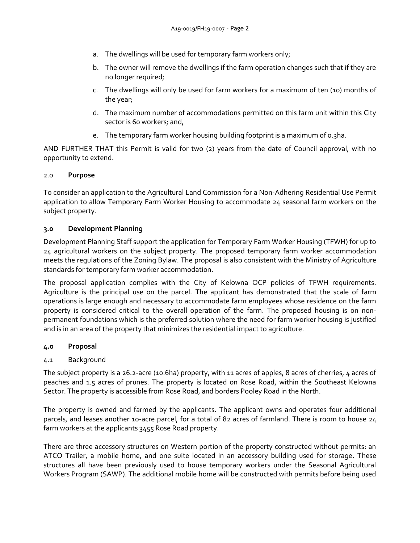- a. The dwellings will be used for temporary farm workers only;
- b. The owner will remove the dwellings if the farm operation changes such that if they are no longer required;
- c. The dwellings will only be used for farm workers for a maximum of ten (10) months of the year;
- d. The maximum number of accommodations permitted on this farm unit within this City sector is 60 workers; and,
- e. The temporary farm worker housing building footprint is a maximum of 0.3ha.

AND FURTHER THAT this Permit is valid for two (2) years from the date of Council approval, with no opportunity to extend.

## 2.0 **Purpose**

To consider an application to the Agricultural Land Commission for a Non-Adhering Residential Use Permit application to allow Temporary Farm Worker Housing to accommodate 24 seasonal farm workers on the subject property.

## **3.0 Development Planning**

Development Planning Staff support the application for Temporary Farm Worker Housing (TFWH) for up to 24 agricultural workers on the subject property. The proposed temporary farm worker accommodation meets the regulations of the Zoning Bylaw. The proposal is also consistent with the Ministry of Agriculture standards for temporary farm worker accommodation.

The proposal application complies with the City of Kelowna OCP policies of TFWH requirements. Agriculture is the principal use on the parcel. The applicant has demonstrated that the scale of farm operations is large enough and necessary to accommodate farm employees whose residence on the farm property is considered critical to the overall operation of the farm. The proposed housing is on nonpermanent foundations which is the preferred solution where the need for farm worker housing is justified and is in an area of the property that minimizes the residential impact to agriculture.

#### **4.0 Proposal**

# 4.1 Background

The subject property is a 26.2-acre (10.6ha) property, with 11 acres of apples, 8 acres of cherries, 4 acres of peaches and 1.5 acres of prunes. The property is located on Rose Road, within the Southeast Kelowna Sector. The property is accessible from Rose Road, and borders Pooley Road in the North.

The property is owned and farmed by the applicants. The applicant owns and operates four additional parcels, and leases another 10-acre parcel, for a total of 82 acres of farmland. There is room to house 24 farm workers at the applicants 3455 Rose Road property.

There are three accessory structures on Western portion of the property constructed without permits: an ATCO Trailer, a mobile home, and one suite located in an accessory building used for storage. These structures all have been previously used to house temporary workers under the Seasonal Agricultural Workers Program (SAWP). The additional mobile home will be constructed with permits before being used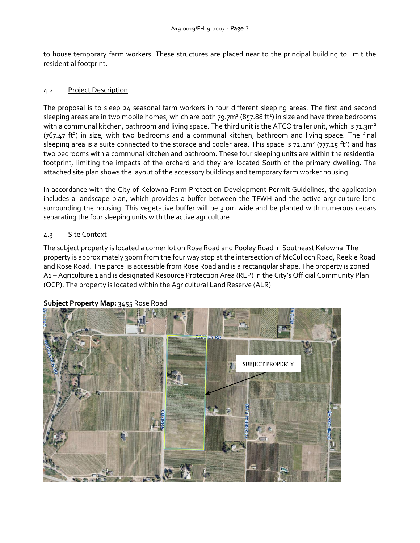to house temporary farm workers. These structures are placed near to the principal building to limit the residential footprint.

# 4.2 Project Description

The proposal is to sleep 24 seasonal farm workers in four different sleeping areas. The first and second sleeping areas are in two mobile homes, which are both 79.7m<sup>2</sup> (857.88 ft<sup>2</sup>) in size and have three bedrooms with a communal kitchen, bathroom and living space. The third unit is the ATCO trailer unit, which is 71.3m<sup>2</sup> (767.47 ft<sup>2</sup>) in size, with two bedrooms and a communal kitchen, bathroom and living space. The final sleeping area is a suite connected to the storage and cooler area. This space is  $72.2 m^2$  ( $777.15$  ft<sup>2</sup>) and has two bedrooms with a communal kitchen and bathroom. These four sleeping units are within the residential footprint, limiting the impacts of the orchard and they are located South of the primary dwelling. The attached site plan shows the layout of the accessory buildings and temporary farm worker housing.

In accordance with the City of Kelowna Farm Protection Development Permit Guidelines, the application includes a landscape plan, which provides a buffer between the TFWH and the active argriculture land surrounding the housing. This vegetative buffer will be 3.0m wide and be planted with numerous cedars separating the four sleeping units with the active agriculture.

# 4.3 Site Context

The subject property is located a corner lot on Rose Road and Pooley Road in Southeast Kelowna. The property is approximately 300m from the four way stop at the intersection of McCulloch Road, Reekie Road and Rose Road. The parcel is accessible from Rose Road and is a rectangular shape. The property is zoned A1 – Agriculture 1 and is designated Resource Protection Area (REP) in the City's Official Community Plan (OCP). The property is located within the Agricultural Land Reserve (ALR).



# **Subject Property Map:** 3455 Rose Road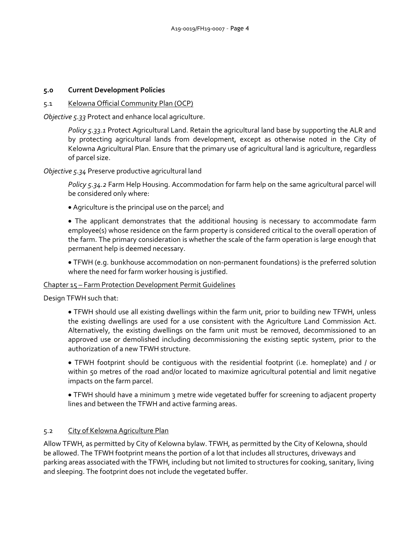## **5.0 Current Development Policies**

## 5.1 Kelowna Official Community Plan (OCP)

*Objective 5.33* Protect and enhance local agriculture.

*Policy 5.33.1* Protect Agricultural Land. Retain the agricultural land base by supporting the ALR and by protecting agricultural lands from development, except as otherwise noted in the City of Kelowna Agricultural Plan. Ensure that the primary use of agricultural land is agriculture, regardless of parcel size.

*Objective 5.34* Preserve productive agricultural land

*Policy 5.34.2* Farm Help Housing. Accommodation for farm help on the same agricultural parcel will be considered only where:

Agriculture is the principal use on the parcel; and

 The applicant demonstrates that the additional housing is necessary to accommodate farm employee(s) whose residence on the farm property is considered critical to the overall operation of the farm. The primary consideration is whether the scale of the farm operation is large enough that permanent help is deemed necessary.

 TFWH (e.g. bunkhouse accommodation on non-permanent foundations) is the preferred solution where the need for farm worker housing is justified.

#### Chapter 15 – Farm Protection Development Permit Guidelines

Design TFWH such that:

 TFWH should use all existing dwellings within the farm unit, prior to building new TFWH, unless the existing dwellings are used for a use consistent with the Agriculture Land Commission Act. Alternatively, the existing dwellings on the farm unit must be removed, decommissioned to an approved use or demolished including decommissioning the existing septic system, prior to the authorization of a new TFWH structure.

 TFWH footprint should be contiguous with the residential footprint (i.e. homeplate) and / or within 50 metres of the road and/or located to maximize agricultural potential and limit negative impacts on the farm parcel.

 TFWH should have a minimum 3 metre wide vegetated buffer for screening to adjacent property lines and between the TFWH and active farming areas.

# 5.2 City of Kelowna Agriculture Plan

Allow TFWH, as permitted by City of Kelowna bylaw. TFWH, as permitted by the City of Kelowna, should be allowed. The TFWH footprint means the portion of a lot that includes all structures, driveways and parking areas associated with the TFWH, including but not limited to structures for cooking, sanitary, living and sleeping. The footprint does not include the vegetated buffer.